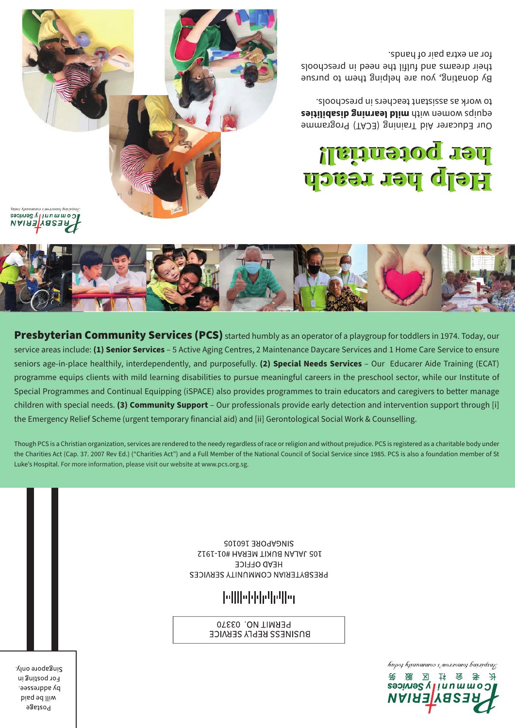$\lambda$ ppoj hjunururos s mortouroj burridsu $\zeta$ 



Singapore only. For posting in by addressee. will be paid **Hostage** 

105 JALAN BUKIT MERAH #01-1912 **HEAD OFFICE** 

## **Milleddelation**

PERMIT NO. 03370 **BO2IME22 KENEA 2EKAICE** 

SUNGAPORE 160105 PRESBYTERIAN COMMUNITY SERVICES

Though PCS is a Christian organization, services are rendered to the needy regardless of race or religion and without prejudice. PCS is registered as a charitable body under the Charities Act (Cap. 37. 2007 Rev Ed.) ("Charities Act") and a Full Member of the National Council of Social Service since 1985. PCS is also a foundation member of St Luke's Hospital. For more information, please visit our website at www.pcs.org.sg.

Presbyterian Community Services (PCS) started humbly as an operator of a playgroup for toddlers in 1974. Today, our service areas include: **(1) Senior Services** – 5 Active Aging Centres, 2 Maintenance Daycare Services and 1 Home Care Service to ensure seniors age-in-place healthily, interdependently, and purposefully. **(2) Special Needs Services** – Our Educarer Aide Training (ECAT) programme equips clients with mild learning disabilities to pursue meaningful careers in the preschool sector, while our Institute of Special Programmes and Continual Equipping (iSPACE) also provides programmes to train educators and caregivers to better manage children with special needs. **(3) Community Support** – Our professionals provide early detection and intervention support through [i] the Emergency Relief Scheme (urgent temporary financial aid) and [ii] Gerontological Social Work & Counselling.



communilyysomes **RESBYERIAN** 



## Help her reach Help her reach her potential! her potential!

Our Educarer Aid Training (ECAT) Programme **reiging women with mild learning disabilities** to work as assistant teachers in preschools.

By donating, you are helping them to pursue their dreams and fulfil the need in preschools for an extra pair of hands.